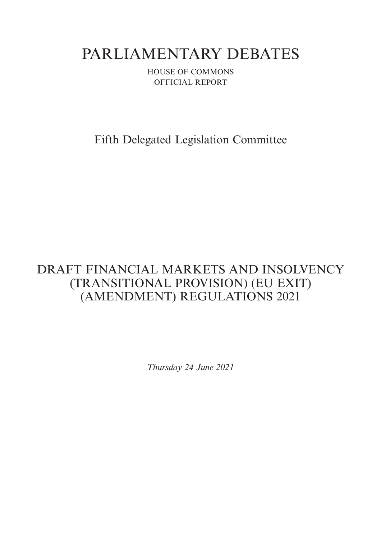# PARLIAMENTARY DEBATES

HOUSE OF COMMONS OFFICIAL REPORT

Fifth Delegated Legislation Committee

## DRAFT FINANCIAL MARKETS AND INSOLVENCY (TRANSITIONAL PROVISION) (EU EXIT) (AMENDMENT) REGULATIONS 2021

*Thursday 24 June 2021*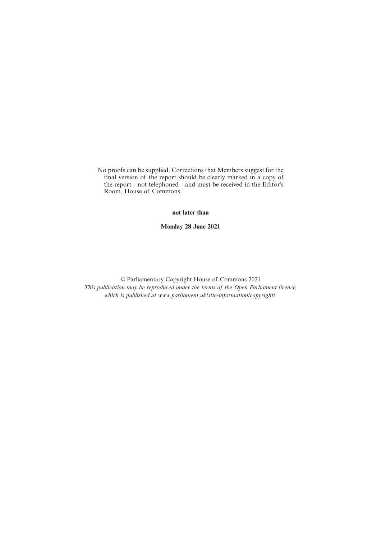No proofs can be supplied. Corrections that Members suggest for the final version of the report should be clearly marked in a copy of the report—not telephoned—and must be received in the Editor's Room, House of Commons,

**not later than**

**Monday 28 June 2021**

© Parliamentary Copyright House of Commons 2021 *This publication may be reproduced under the terms of the Open Parliament licence, which is published at www.parliament.uk/site-information/copyright/.*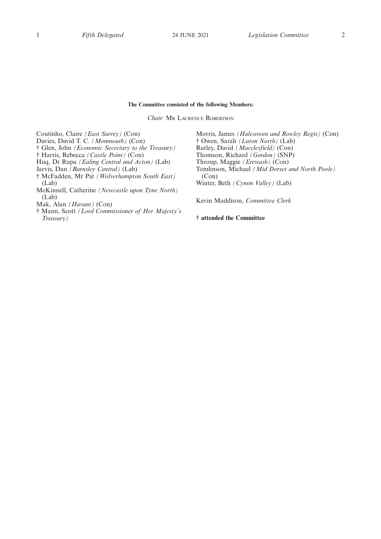#### **The Committee consisted of the following Members:**

*Chair:* M<sup>R</sup> LAURENCE ROBERTSON

Coutinho, Claire *(East Surrey)* (Con) Davies, David T. C. *(Monmouth)* (Con) † Glen, John *(Economic Secretary to the Treasury)* † Harris, Rebecca *(Castle Point)* (Con) Huq, Dr Rupa *(Ealing Central and Acton)* (Lab) Jarvis, Dan *(Barnsley Central)* (Lab) † McFadden, Mr Pat *(Wolverhampton South East)* (Lab) McKinnell, Catherine *(Newcastle upon Tyne North)* (Lab) Mak, Alan *(Havant)* (Con) (Con)

† Mann, Scott *(Lord Commissioner of Her Majesty's Treasury)*

Morris, James *(Halesowen and Rowley Regis)* (Con) † Owen, Sarah *(Luton North)* (Lab) Rutley, David *(Macclesfield)* (Con) Thomson, Richard *(Gordon)* (SNP) Throup, Maggie *(Erewash)* (Con) Tomlinson, Michael *(Mid Dorset and North Poole)* Winter, Beth *(Cynon Valley)* (Lab)

Kevin Maddison, *Committee Clerk*

**† attended the Committee**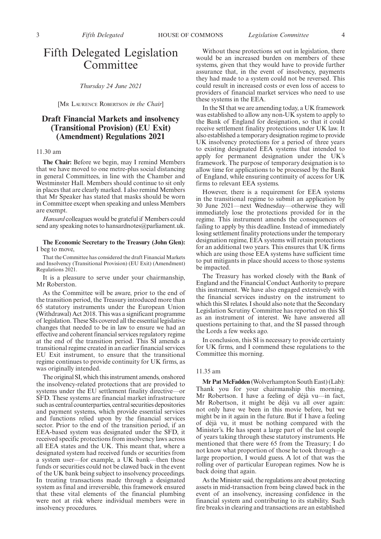### Fifth Delegated Legislation Committee

*Thursday 24 June 2021*

[M<sup>R</sup> LAURENCE ROBERTSON *in the Chair*]

#### **Draft Financial Markets and insolvency (Transitional Provision) (EU Exit) (Amendment) Regulations 2021**

#### 11.30 am

**The Chair:** Before we begin, may I remind Members that we have moved to one metre-plus social distancing in general Committees, in line with the Chamber and Westminster Hall. Members should continue to sit only in places that are clearly marked. I also remind Members that Mr Speaker has stated that masks should be worn in Committee except when speaking and unless Members are exempt.

*Hansard* colleagues would be grateful if Members could send any speaking notes to hansardnotes@parliament.uk.

#### **The Economic Secretary to the Treasury (John Glen):** I beg to move,

That the Committee has considered the draft Financial Markets and Insolvency (Transitional Provision) (EU Exit) (Amendment) Regulations 2021.

It is a pleasure to serve under your chairmanship, Mr Roberston.

As the Committee will be aware, prior to the end of the transition period, the Treasury introduced more than 65 statutory instruments under the European Union (Withdrawal) Act 2018. This was a significant programme of legislation. These SIs covered all the essential legislative changes that needed to be in law to ensure we had an effective and coherent financial services regulatory regime at the end of the transition period. This SI amends a transitional regime created in an earlier financial services EU Exit instrument, to ensure that the transitional regime continues to provide continuity for UK firms, as was originally intended.

The original SI, which this instrument amends, onshored the insolvency-related protections that are provided to systems under the EU settlement finality directive—or SFD. These systems are financial market infrastructure such as central counterparties, central securities depositories and payment systems, which provide essential services and functions relied upon by the financial services sector. Prior to the end of the transition period, if an EEA-based system was designated under the SFD, it received specific protections from insolvency laws across all EEA states and the UK. This meant that, where a designated system had received funds or securities from a system user—for example, a UK bank—then those funds or securities could not be clawed back in the event of the UK bank being subject to insolvency proceedings. In treating transactions made through a designated system as final and irreversible, this framework ensured that these vital elements of the financial plumbing were not at risk where individual members were in insolvency procedures.

Without these protections set out in legislation, there would be an increased burden on members of these systems, given that they would have to provide further assurance that, in the event of insolvency, payments they had made to a system could not be reversed. This could result in increased costs or even loss of access to providers of financial market services who need to use these systems in the EEA.

In the SI that we are amending today, a UK framework was established to allow any non-UK system to apply to the Bank of England for designation, so that it could receive settlement finality protections under UK law. It also established a temporary designation regime to provide UK insolvency protections for a period of three years to existing designated EEA systems that intended to apply for permanent designation under the UK's framework. The purpose of temporary designation is to allow time for applications to be processed by the Bank of England, while ensuring continuity of access for UK firms to relevant EEA systems.

However, there is a requirement for EEA systems in the transitional regime to submit an application by 30 June 2021—next Wednesday—otherwise they will immediately lose the protections provided for in the regime. This instrument amends the consequences of failing to apply by this deadline. Instead of immediately losing settlement finality protections under the temporary designation regime, EEA systems will retain protections for an additional two years. This ensures that UK firms which are using those EEA systems have sufficient time to put mitigants in place should access to those systems be impacted.

The Treasury has worked closely with the Bank of England and the Financial Conduct Authority to prepare this instrument. We have also engaged extensively with the financial services industry on the instrument to which this SI relates. I should also note that the Secondary Legislation Scrutiny Committee has reported on this SI as an instrument of interest. We have answered all questions pertaining to that, and the SI passed through the Lords a few weeks ago.

In conclusion, this SI is necessary to provide certainty for UK firms, and I commend these regulations to the Committee this morning.

#### 11.35 am

**Mr Pat McFadden** (Wolverhampton South East) (Lab): Thank you for your chairmanship this morning, Mr Robertson. I have a feeling of déjà vu—in fact, Mr Robertson, it might be déjà vu all over again: not only have we been in this movie before, but we might be in it again in the future. But if I have a feeling of déjà vu, it must be nothing compared with the Minister's. He has spent a large part of the last couple of years taking through these statutory instruments. He mentioned that there were 65 from the Treasury; I do not know what proportion of those he took through—a large proportion, I would guess. A lot of that was the rolling over of particular European regimes. Now he is back doing that again.

As the Minister said, the regulations are about protecting assets in mid-transaction from being clawed back in the event of an insolvency, increasing confidence in the financial system and contributing to its stability. Such fire breaks in clearing and transactions are an established